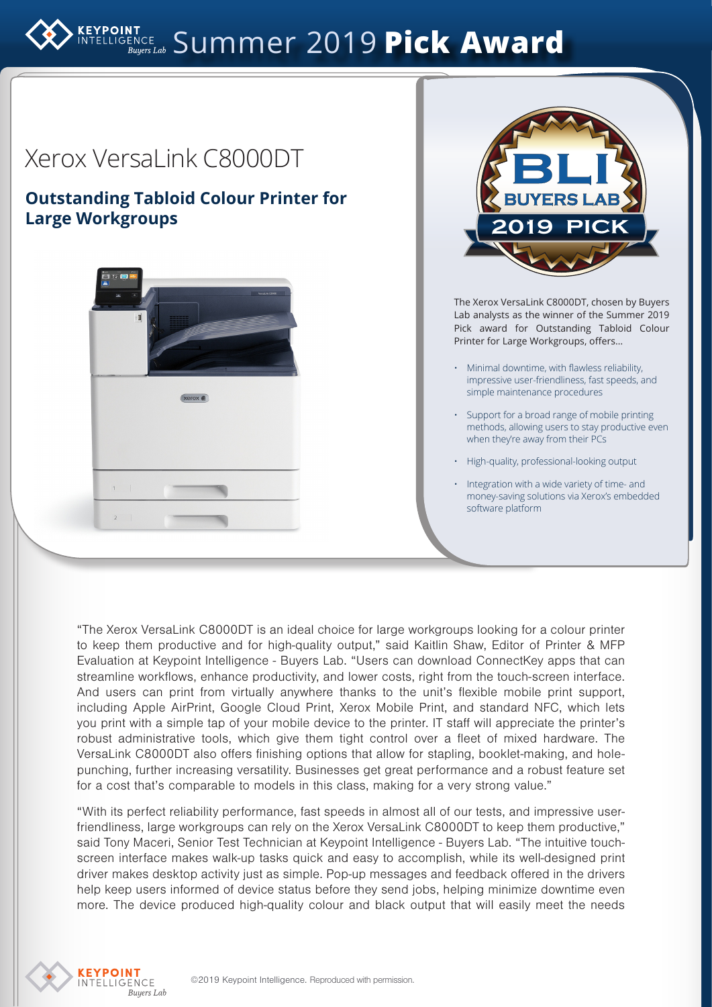# ELLIGENCE Summer 2019 **Pick Award**



"The Xerox VersaLink C8000DT is an ideal choice for large workgroups looking for a colour printer to keep them productive and for high-quality output," said Kaitlin Shaw, Editor of Printer & MFP Evaluation at Keypoint Intelligence - Buyers Lab. "Users can download ConnectKey apps that can streamline workflows, enhance productivity, and lower costs, right from the touch-screen interface. And users can print from virtually anywhere thanks to the unit's flexible mobile print support, including Apple AirPrint, Google Cloud Print, Xerox Mobile Print, and standard NFC, which lets you print with a simple tap of your mobile device to the printer. IT staff will appreciate the printer's robust administrative tools, which give them tight control over a fleet of mixed hardware. The VersaLink C8000DT also offers finishing options that allow for stapling, booklet-making, and holepunching, further increasing versatility. Businesses get great performance and a robust feature set for a cost that's comparable to models in this class, making for a very strong value."

"With its perfect reliability performance, fast speeds in almost all of our tests, and impressive userfriendliness, large workgroups can rely on the Xerox VersaLink C8000DT to keep them productive," said Tony Maceri, Senior Test Technician at Keypoint Intelligence - Buyers Lab. "The intuitive touchscreen interface makes walk-up tasks quick and easy to accomplish, while its well-designed print driver makes desktop activity just as simple. Pop-up messages and feedback offered in the drivers help keep users informed of device status before they send jobs, helping minimize downtime even more. The device produced high-quality colour and black output that will easily meet the needs